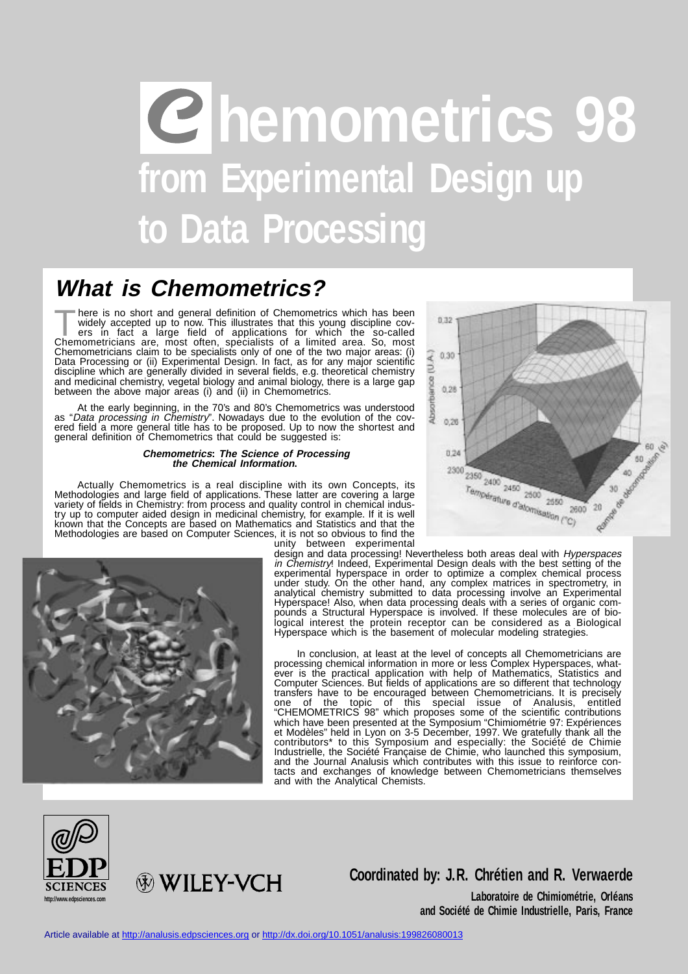# **hemometrics 98 from Experimental Design up to Data Processing**

## **What is Chemometrics?**

There is no short and general definition of Chemometrics which has been<br>widely accepted up to now. This illustrates that this young discipline cov-<br>ers in fact a large field of applications for which the so-called<br>Chemomet widely accepted up to now. This illustrates that this young discipline covers in fact a large field of applications for which the so-called Chemometricians are, most often, specialists of a limited area. So, most Chemometricians claim to be specialists only of one of the two major areas: (i) Data Processing or (ii) Experimental Design. In fact, as for any major scientific discipline which are generally divided in several fields, e.g. theoretical chemistry and medicinal chemistry, vegetal biology and animal biology, there is a large gap between the above major areas (i) and (ii) in Chemometrics.

At the early beginning, in the 70's and 80's Chemometrics was understood as "Data processing in Chemistry". Nowadays due to the evolution of the covered field a more general title has to be proposed. Up to now the shortest and general definition of Chemometrics that could be suggested is:

#### **Chemometrics: The Science of Processing the Chemical Information.**

Actually Chemometrics is a real discipline with its own Concepts, its Methodologies and large field of applications. These latter are covering a large variety of fields in Chemistry: from process and quality control in chemical industry up to computer aided design in medicinal chemistry, for example. If it is well known that the Concepts are based on Mathematics and Statistics and that the Methodologies are based on Computer Sciences, it is not so obvious to find the





unity between experimental design and data processing! Nevertheless both areas deal with *Hyperspaces* in Chemistry! Indeed, Experimental Design deals with the best setting of the experimental hyperspace in order to optimize a complex chemical process under study. On the other hand, any complex matrices in spectrometry, in analytical chemistry submitted to data processing involve an Experimental Hyperspace! Also, when data processing deals with a series of organic compounds a Structural Hyperspace is involved. If these molecules are of biological interest the protein receptor can be considered as a Biological Hyperspace which is the basement of molecular modeling strategies.

In conclusion, at least at the level of concepts all Chemometricians are processing chemical information in more or less Complex Hyperspaces, whatever is the practical application with help of Mathematics, Statistics and Computer Sciences. But fields of applications are so different that technology transfers have to be encouraged between Chemometricians. It is precisely one of the topic of this special issue of Analusis, entitled "CHEMOMETRICS 98" which proposes some of the scientific contributions which have been presented at the Symposium "Chimiométrie 97: Expériences et Modèles" held in Lyon on 3-5 December, 1997. We gratefully thank all the contributors\* to this Symposium and especially: the Société de Chimie Industrielle, the Société Française de Chimie, who launched this symposium, and the Journal Analusis which contributes with this issue to reinforce contacts and exchanges of knowledge between Chemometricians themselves and with the Analytical Chemists.



**HEY-VCH** 

### **Coordinated by: J.R. Chrétien and R. Verwaerde**

**Laboratoire de Chimiométrie, Orléans and Société de Chimie Industrielle, Paris, France**